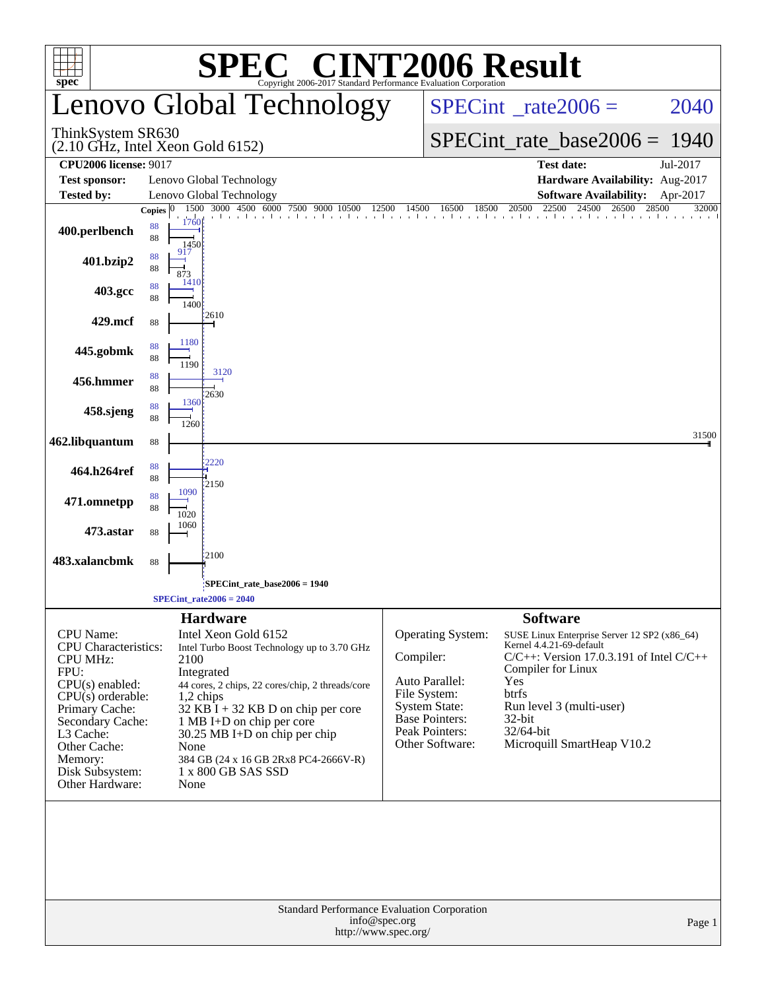| <b>C® CINT2006 Result</b><br>SPE<br>Copyright 2006-2017 Standard Performance Evaluation Corporation<br>spec <sup>®</sup>                                                                                                            |                                                                    |                                                                                                                                                                                                                                                                                                     |                                                                                                                                                        |                                                                                                                                                                                                                                                                        |                |  |  |  |  |  |
|-------------------------------------------------------------------------------------------------------------------------------------------------------------------------------------------------------------------------------------|--------------------------------------------------------------------|-----------------------------------------------------------------------------------------------------------------------------------------------------------------------------------------------------------------------------------------------------------------------------------------------------|--------------------------------------------------------------------------------------------------------------------------------------------------------|------------------------------------------------------------------------------------------------------------------------------------------------------------------------------------------------------------------------------------------------------------------------|----------------|--|--|--|--|--|
|                                                                                                                                                                                                                                     |                                                                    | Lenovo Global Technology                                                                                                                                                                                                                                                                            |                                                                                                                                                        | $SPECint^{\circ}$ <sub>_rate2006</sub> =                                                                                                                                                                                                                               | 2040           |  |  |  |  |  |
| ThinkSystem SR630<br>$(2.10 \text{ GHz}, \text{Intel Xeon Gold } 6152)$                                                                                                                                                             |                                                                    |                                                                                                                                                                                                                                                                                                     |                                                                                                                                                        | $SPECint_rate_base2006 =$<br>-1940                                                                                                                                                                                                                                     |                |  |  |  |  |  |
| <b>CPU2006 license: 9017</b>                                                                                                                                                                                                        |                                                                    |                                                                                                                                                                                                                                                                                                     |                                                                                                                                                        | <b>Test date:</b>                                                                                                                                                                                                                                                      | Jul-2017       |  |  |  |  |  |
| <b>Test sponsor:</b><br>Tested by:                                                                                                                                                                                                  | Lenovo Global Technology<br>Lenovo Global Technology               |                                                                                                                                                                                                                                                                                                     |                                                                                                                                                        | Hardware Availability: Aug-2017<br><b>Software Availability:</b><br>Apr-2017                                                                                                                                                                                           |                |  |  |  |  |  |
|                                                                                                                                                                                                                                     | Copies $ 0 $                                                       | 1500 3000 4500 6000 7500 9000 10500                                                                                                                                                                                                                                                                 | 16500<br>18500<br>12500<br>14500                                                                                                                       | 22500<br>24500<br>26500<br>20500                                                                                                                                                                                                                                       | 28500<br>32000 |  |  |  |  |  |
| 400.perlbench                                                                                                                                                                                                                       | 1760<br>88<br>88<br>1450                                           | The China China China China China China China China China China China China China                                                                                                                                                                                                                   |                                                                                                                                                        |                                                                                                                                                                                                                                                                        |                |  |  |  |  |  |
| 401.bzip2                                                                                                                                                                                                                           | 917<br>88<br>88<br>873<br>1410                                     |                                                                                                                                                                                                                                                                                                     |                                                                                                                                                        |                                                                                                                                                                                                                                                                        |                |  |  |  |  |  |
| 403.gcc                                                                                                                                                                                                                             | 88<br>88<br>1400<br>12610                                          |                                                                                                                                                                                                                                                                                                     |                                                                                                                                                        |                                                                                                                                                                                                                                                                        |                |  |  |  |  |  |
| 429.mcf                                                                                                                                                                                                                             | 88                                                                 |                                                                                                                                                                                                                                                                                                     |                                                                                                                                                        |                                                                                                                                                                                                                                                                        |                |  |  |  |  |  |
| 445.gobmk                                                                                                                                                                                                                           | 1180<br>88<br>88<br>1190                                           |                                                                                                                                                                                                                                                                                                     |                                                                                                                                                        |                                                                                                                                                                                                                                                                        |                |  |  |  |  |  |
| 456.hmmer                                                                                                                                                                                                                           | 88<br>88<br>12630                                                  | 3120                                                                                                                                                                                                                                                                                                |                                                                                                                                                        |                                                                                                                                                                                                                                                                        |                |  |  |  |  |  |
| 458.sjeng                                                                                                                                                                                                                           | 1360<br>88<br>88<br>1260                                           |                                                                                                                                                                                                                                                                                                     |                                                                                                                                                        |                                                                                                                                                                                                                                                                        |                |  |  |  |  |  |
| 462.libquantum                                                                                                                                                                                                                      | 88                                                                 |                                                                                                                                                                                                                                                                                                     |                                                                                                                                                        |                                                                                                                                                                                                                                                                        | 31500          |  |  |  |  |  |
| 464.h264ref                                                                                                                                                                                                                         | 2220<br>88<br>88<br>12150                                          |                                                                                                                                                                                                                                                                                                     |                                                                                                                                                        |                                                                                                                                                                                                                                                                        |                |  |  |  |  |  |
| 471.omnetpp                                                                                                                                                                                                                         | 1090<br>88<br>88<br>1020                                           |                                                                                                                                                                                                                                                                                                     |                                                                                                                                                        |                                                                                                                                                                                                                                                                        |                |  |  |  |  |  |
| 473.astar                                                                                                                                                                                                                           | 1060<br>88                                                         |                                                                                                                                                                                                                                                                                                     |                                                                                                                                                        |                                                                                                                                                                                                                                                                        |                |  |  |  |  |  |
| 483.xalancbmk                                                                                                                                                                                                                       | 12100<br>88                                                        |                                                                                                                                                                                                                                                                                                     |                                                                                                                                                        |                                                                                                                                                                                                                                                                        |                |  |  |  |  |  |
|                                                                                                                                                                                                                                     |                                                                    | SPECint rate base $2006 = 1940$                                                                                                                                                                                                                                                                     |                                                                                                                                                        |                                                                                                                                                                                                                                                                        |                |  |  |  |  |  |
|                                                                                                                                                                                                                                     | $SPECint_rate2006 = 2040$                                          |                                                                                                                                                                                                                                                                                                     |                                                                                                                                                        |                                                                                                                                                                                                                                                                        |                |  |  |  |  |  |
| CPU Name:<br><b>CPU</b> Characteristics:<br><b>CPU MHz:</b><br>FPU:<br>$CPU(s)$ enabled:<br>$CPU(s)$ orderable:<br>Primary Cache:<br>Secondary Cache:<br>L3 Cache:<br>Other Cache:<br>Memory:<br>Disk Subsystem:<br>Other Hardware: | <b>Hardware</b><br>2100<br>Integrated<br>1,2 chips<br>None<br>None | Intel Xeon Gold 6152<br>Intel Turbo Boost Technology up to 3.70 GHz<br>44 cores, 2 chips, 22 cores/chip, 2 threads/core<br>$32$ KB $\bar{1}$ + 32 KB D on chip per core<br>1 MB I+D on chip per core<br>30.25 MB I+D on chip per chip<br>384 GB (24 x 16 GB 2Rx8 PC4-2666V-R)<br>1 x 800 GB SAS SSD | Operating System:<br>Compiler:<br>Auto Parallel:<br>File System:<br><b>System State:</b><br><b>Base Pointers:</b><br>Peak Pointers:<br>Other Software: | <b>Software</b><br>SUSE Linux Enterprise Server 12 SP2 (x86_64)<br>Kernel 4.4.21-69-default<br>$C/C++$ : Version 17.0.3.191 of Intel $C/C++$<br>Compiler for Linux<br>Yes<br>btrfs<br>Run level 3 (multi-user)<br>$32$ -bit<br>32/64-bit<br>Microquill SmartHeap V10.2 |                |  |  |  |  |  |
|                                                                                                                                                                                                                                     |                                                                    | info@spec.org                                                                                                                                                                                                                                                                                       | Standard Performance Evaluation Corporation<br>http://www.spec.org/                                                                                    |                                                                                                                                                                                                                                                                        | Page 1         |  |  |  |  |  |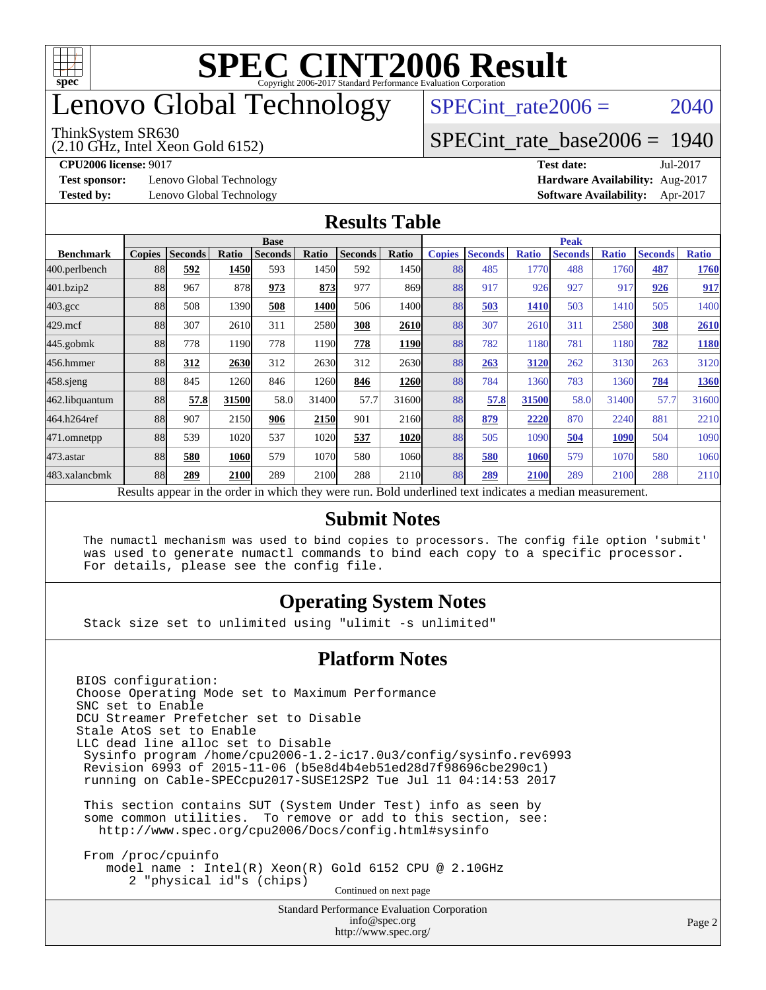

## enovo Global Technology

#### ThinkSystem SR630

(2.10 GHz, Intel Xeon Gold 6152)

SPECint rate $2006 = 2040$ 

#### [SPECint\\_rate\\_base2006 =](http://www.spec.org/auto/cpu2006/Docs/result-fields.html#SPECintratebase2006) 1940

**[Test sponsor:](http://www.spec.org/auto/cpu2006/Docs/result-fields.html#Testsponsor)** Lenovo Global Technology **[Hardware Availability:](http://www.spec.org/auto/cpu2006/Docs/result-fields.html#HardwareAvailability)** Aug-2017

**[CPU2006 license:](http://www.spec.org/auto/cpu2006/Docs/result-fields.html#CPU2006license)** 9017 **[Test date:](http://www.spec.org/auto/cpu2006/Docs/result-fields.html#Testdate)** Jul-2017 **[Tested by:](http://www.spec.org/auto/cpu2006/Docs/result-fields.html#Testedby)** Lenovo Global Technology **[Software Availability:](http://www.spec.org/auto/cpu2006/Docs/result-fields.html#SoftwareAvailability)** Apr-2017

#### **[Results Table](http://www.spec.org/auto/cpu2006/Docs/result-fields.html#ResultsTable)**

|                                                                                                          | <b>Base</b>   |                |       |                |       |                | <b>Peak</b> |               |                |              |                |              |                |              |
|----------------------------------------------------------------------------------------------------------|---------------|----------------|-------|----------------|-------|----------------|-------------|---------------|----------------|--------------|----------------|--------------|----------------|--------------|
| <b>Benchmark</b>                                                                                         | <b>Copies</b> | <b>Seconds</b> | Ratio | <b>Seconds</b> | Ratio | <b>Seconds</b> | Ratio       | <b>Copies</b> | <b>Seconds</b> | <b>Ratio</b> | <b>Seconds</b> | <b>Ratio</b> | <b>Seconds</b> | <b>Ratio</b> |
| 400.perlbench                                                                                            | 88            | 592            | 1450  | 593            | 1450  | 592            | 1450        | 88            | 485            | 1770         | 488            | 1760         | 487            | 1760         |
| 401.bzip2                                                                                                | 88            | 967            | 878   | 973            | 873   | 977            | 869         | 88            | 917            | 926          | 927            | 917          | 926            | 917          |
| $403.\text{gcc}$                                                                                         | 88            | 508            | 1390  | 508            | 1400  | 506            | 1400l       | 88            | 503            | 1410         | 503            | 1410         | 505            | 1400         |
| $429$ .mcf                                                                                               | 88            | 307            | 2610  | 311            | 2580  | 308            | 2610        | 88            | 307            | 2610         | 311            | 2580         | 308            | 2610         |
| $445$ .gobmk                                                                                             | 88            | 778            | 1190  | 778            | 1190  | 778            | 1190        | 88            | 782            | 1180         | 781            | 1180         | 782            | 1180         |
| 456.hmmer                                                                                                | 88            | 312            | 2630  | 312            | 2630  | 312            | 2630l       | 88            | 263            | 3120         | 262            | 3130         | 263            | 3120         |
| $458$ .sjeng                                                                                             | 88            | 845            | 1260  | 846            | 1260  | 846            | <b>1260</b> | 88            | 784            | 1360         | 783            | 1360         | 784            | 1360         |
| 462.libquantum                                                                                           | 88            | 57.8           | 31500 | 58.0           | 31400 | 57.7           | 31600       | 88            | 57.8           | 31500        | 58.0           | 31400        | 57.7           | 31600        |
| 464.h264ref                                                                                              | 88            | 907            | 2150  | 906            | 2150  | 901            | 2160        | 88            | 879            | 2220         | 870            | 2240         | 881            | 2210         |
| 471.omnetpp                                                                                              | 88            | 539            | 1020  | 537            | 1020  | 537            | 1020        | 88            | 505            | 1090         | 504            | 1090         | 504            | 1090         |
| $473$ . astar                                                                                            | 88            | 580            | 1060  | 579            | 1070  | 580            | 1060        | 88            | 580            | 1060         | 579            | 1070         | 580            | 1060         |
| 483.xalancbmk                                                                                            | 88            | 289            | 2100  | 289            | 2100  | 288            | 2110        | 88            | 289            | 2100         | 289            | 2100         | 288            | 2110         |
| Results appear in the order in which they were run. Bold underlined text indicates a median measurement. |               |                |       |                |       |                |             |               |                |              |                |              |                |              |

#### **[Submit Notes](http://www.spec.org/auto/cpu2006/Docs/result-fields.html#SubmitNotes)**

 The numactl mechanism was used to bind copies to processors. The config file option 'submit' was used to generate numactl commands to bind each copy to a specific processor. For details, please see the config file.

#### **[Operating System Notes](http://www.spec.org/auto/cpu2006/Docs/result-fields.html#OperatingSystemNotes)**

Stack size set to unlimited using "ulimit -s unlimited"

#### **[Platform Notes](http://www.spec.org/auto/cpu2006/Docs/result-fields.html#PlatformNotes)**

Standard Performance Evaluation Corporation [info@spec.org](mailto:info@spec.org) BIOS configuration: Choose Operating Mode set to Maximum Performance SNC set to Enable DCU Streamer Prefetcher set to Disable Stale AtoS set to Enable LLC dead line alloc set to Disable Sysinfo program /home/cpu2006-1.2-ic17.0u3/config/sysinfo.rev6993 Revision 6993 of 2015-11-06 (b5e8d4b4eb51ed28d7f98696cbe290c1) running on Cable-SPECcpu2017-SUSE12SP2 Tue Jul 11 04:14:53 2017 This section contains SUT (System Under Test) info as seen by some common utilities. To remove or add to this section, see: <http://www.spec.org/cpu2006/Docs/config.html#sysinfo> From /proc/cpuinfo model name : Intel(R) Xeon(R) Gold 6152 CPU @ 2.10GHz 2 "physical id"s (chips) Continued on next page

<http://www.spec.org/>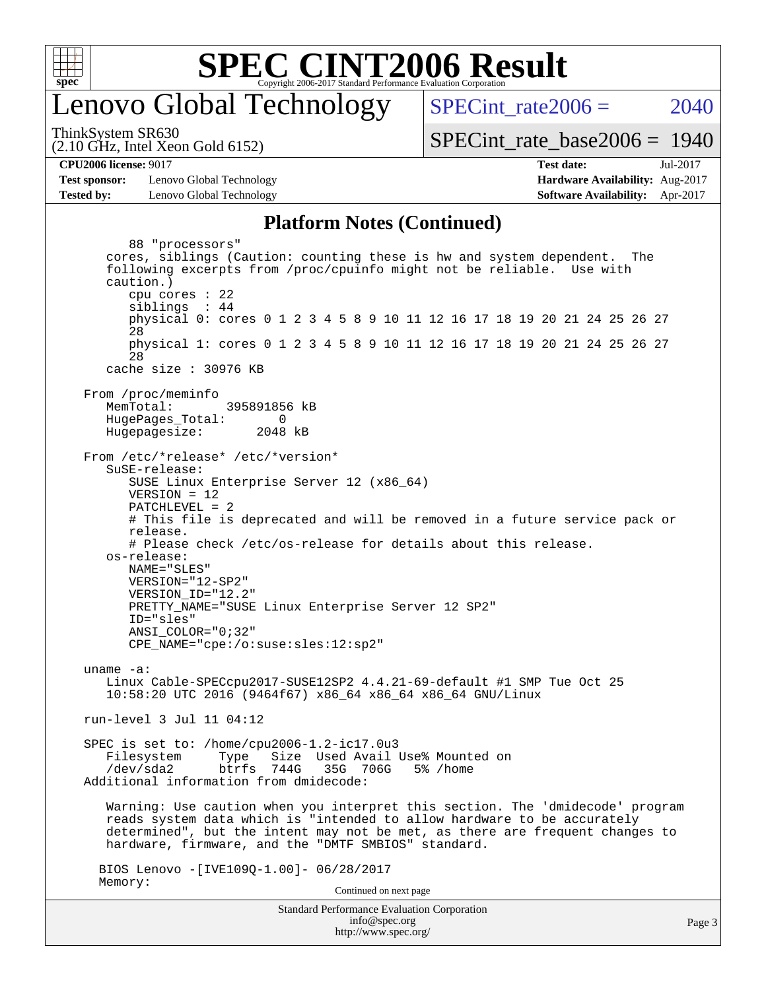

### enovo Global Technology

SPECint rate $2006 = 2040$ 

(2.10 GHz, Intel Xeon Gold 6152) ThinkSystem SR630

[SPECint\\_rate\\_base2006 =](http://www.spec.org/auto/cpu2006/Docs/result-fields.html#SPECintratebase2006) 1940

**[Test sponsor:](http://www.spec.org/auto/cpu2006/Docs/result-fields.html#Testsponsor)** Lenovo Global Technology **[Hardware Availability:](http://www.spec.org/auto/cpu2006/Docs/result-fields.html#HardwareAvailability)** Aug-2017 **[Tested by:](http://www.spec.org/auto/cpu2006/Docs/result-fields.html#Testedby)** Lenovo Global Technology **[Software Availability:](http://www.spec.org/auto/cpu2006/Docs/result-fields.html#SoftwareAvailability)** Apr-2017

## **[CPU2006 license:](http://www.spec.org/auto/cpu2006/Docs/result-fields.html#CPU2006license)** 9017 **[Test date:](http://www.spec.org/auto/cpu2006/Docs/result-fields.html#Testdate)** Jul-2017

#### **[Platform Notes \(Continued\)](http://www.spec.org/auto/cpu2006/Docs/result-fields.html#PlatformNotes)**

Standard Performance Evaluation Corporation [info@spec.org](mailto:info@spec.org) 88 "processors" cores, siblings (Caution: counting these is hw and system dependent. The following excerpts from /proc/cpuinfo might not be reliable. Use with caution.) cpu cores : 22 siblings : 44 physical 0: cores 0 1 2 3 4 5 8 9 10 11 12 16 17 18 19 20 21 24 25 26 27 28 physical 1: cores 0 1 2 3 4 5 8 9 10 11 12 16 17 18 19 20 21 24 25 26 27 28 cache size : 30976 KB From /proc/meminfo MemTotal: 395891856 kB HugePages\_Total: 0<br>Hugepagesize: 2048 kB Hugepagesize: From /etc/\*release\* /etc/\*version\* SuSE-release: SUSE Linux Enterprise Server 12 (x86\_64) VERSION = 12 PATCHLEVEL = 2 # This file is deprecated and will be removed in a future service pack or release. # Please check /etc/os-release for details about this release. os-release: NAME="SLES" VERSION="12-SP2" VERSION\_ID="12.2" PRETTY\_NAME="SUSE Linux Enterprise Server 12 SP2" ID="sles" ANSI\_COLOR="0;32" CPE\_NAME="cpe:/o:suse:sles:12:sp2" uname -a: Linux Cable-SPECcpu2017-SUSE12SP2 4.4.21-69-default #1 SMP Tue Oct 25 10:58:20 UTC 2016 (9464f67) x86\_64 x86\_64 x86\_64 GNU/Linux run-level 3 Jul 11 04:12 SPEC is set to: /home/cpu2006-1.2-ic17.0u3 Filesystem Type Size Used-Avail-Use%-Mounted-on-<br>  $\sqrt{\text{dev/s}}$ da2 btrfs 744G 35G 706G 5%-/home btrfs 744G 35G 706G 5% / home Additional information from dmidecode: Warning: Use caution when you interpret this section. The 'dmidecode' program reads system data which is "intended to allow hardware to be accurately determined", but the intent may not be met, as there are frequent changes to hardware, firmware, and the "DMTF SMBIOS" standard. BIOS Lenovo -[IVE109Q-1.00]- 06/28/2017 Memory: Continued on next page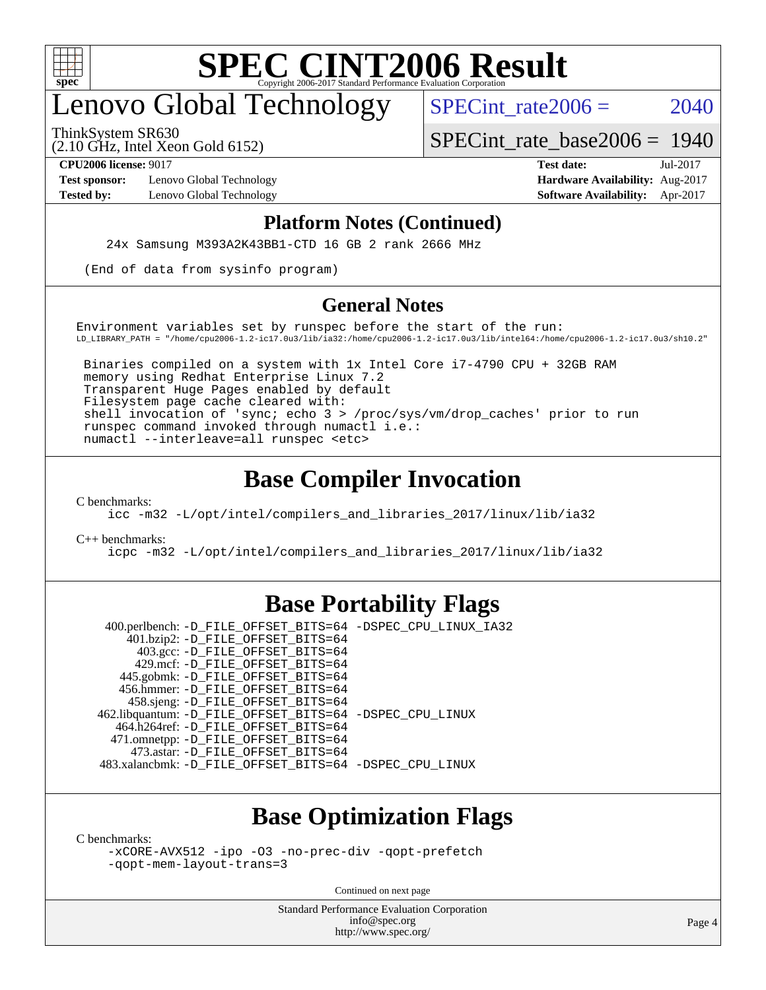

## enovo Global Technology

SPECint rate $2006 = 2040$ 

ThinkSystem SR630

(2.10 GHz, Intel Xeon Gold 6152)

[SPECint\\_rate\\_base2006 =](http://www.spec.org/auto/cpu2006/Docs/result-fields.html#SPECintratebase2006) 1940

**[Test sponsor:](http://www.spec.org/auto/cpu2006/Docs/result-fields.html#Testsponsor)** Lenovo Global Technology **[Hardware Availability:](http://www.spec.org/auto/cpu2006/Docs/result-fields.html#HardwareAvailability)** Aug-2017

**[CPU2006 license:](http://www.spec.org/auto/cpu2006/Docs/result-fields.html#CPU2006license)** 9017 **[Test date:](http://www.spec.org/auto/cpu2006/Docs/result-fields.html#Testdate)** Jul-2017 **[Tested by:](http://www.spec.org/auto/cpu2006/Docs/result-fields.html#Testedby)** Lenovo Global Technology **[Software Availability:](http://www.spec.org/auto/cpu2006/Docs/result-fields.html#SoftwareAvailability)** Apr-2017

#### **[Platform Notes \(Continued\)](http://www.spec.org/auto/cpu2006/Docs/result-fields.html#PlatformNotes)**

24x Samsung M393A2K43BB1-CTD 16 GB 2 rank 2666 MHz

(End of data from sysinfo program)

#### **[General Notes](http://www.spec.org/auto/cpu2006/Docs/result-fields.html#GeneralNotes)**

Environment variables set by runspec before the start of the run: LD\_LIBRARY\_PATH = "/home/cpu2006-1.2-ic17.0u3/lib/ia32:/home/cpu2006-1.2-ic17.0u3/lib/intel64:/home/cpu2006-1.2-ic17.0u3/sh10.2"

 Binaries compiled on a system with 1x Intel Core i7-4790 CPU + 32GB RAM memory using Redhat Enterprise Linux 7.2 Transparent Huge Pages enabled by default Filesystem page cache cleared with: shell invocation of 'sync; echo 3 > /proc/sys/vm/drop\_caches' prior to run runspec command invoked through numactl i.e.: numactl --interleave=all runspec <etc>

#### **[Base Compiler Invocation](http://www.spec.org/auto/cpu2006/Docs/result-fields.html#BaseCompilerInvocation)**

[C benchmarks](http://www.spec.org/auto/cpu2006/Docs/result-fields.html#Cbenchmarks):

[icc -m32 -L/opt/intel/compilers\\_and\\_libraries\\_2017/linux/lib/ia32](http://www.spec.org/cpu2006/results/res2017q4/cpu2006-20170918-49521.flags.html#user_CCbase_intel_icc_c29f3ff5a7ed067b11e4ec10a03f03ae)

[C++ benchmarks:](http://www.spec.org/auto/cpu2006/Docs/result-fields.html#CXXbenchmarks)

[icpc -m32 -L/opt/intel/compilers\\_and\\_libraries\\_2017/linux/lib/ia32](http://www.spec.org/cpu2006/results/res2017q4/cpu2006-20170918-49521.flags.html#user_CXXbase_intel_icpc_8c35c7808b62dab9ae41a1aa06361b6b)

#### **[Base Portability Flags](http://www.spec.org/auto/cpu2006/Docs/result-fields.html#BasePortabilityFlags)**

 400.perlbench: [-D\\_FILE\\_OFFSET\\_BITS=64](http://www.spec.org/cpu2006/results/res2017q4/cpu2006-20170918-49521.flags.html#user_basePORTABILITY400_perlbench_file_offset_bits_64_438cf9856305ebd76870a2c6dc2689ab) [-DSPEC\\_CPU\\_LINUX\\_IA32](http://www.spec.org/cpu2006/results/res2017q4/cpu2006-20170918-49521.flags.html#b400.perlbench_baseCPORTABILITY_DSPEC_CPU_LINUX_IA32) 401.bzip2: [-D\\_FILE\\_OFFSET\\_BITS=64](http://www.spec.org/cpu2006/results/res2017q4/cpu2006-20170918-49521.flags.html#user_basePORTABILITY401_bzip2_file_offset_bits_64_438cf9856305ebd76870a2c6dc2689ab) 403.gcc: [-D\\_FILE\\_OFFSET\\_BITS=64](http://www.spec.org/cpu2006/results/res2017q4/cpu2006-20170918-49521.flags.html#user_basePORTABILITY403_gcc_file_offset_bits_64_438cf9856305ebd76870a2c6dc2689ab) 429.mcf: [-D\\_FILE\\_OFFSET\\_BITS=64](http://www.spec.org/cpu2006/results/res2017q4/cpu2006-20170918-49521.flags.html#user_basePORTABILITY429_mcf_file_offset_bits_64_438cf9856305ebd76870a2c6dc2689ab) 445.gobmk: [-D\\_FILE\\_OFFSET\\_BITS=64](http://www.spec.org/cpu2006/results/res2017q4/cpu2006-20170918-49521.flags.html#user_basePORTABILITY445_gobmk_file_offset_bits_64_438cf9856305ebd76870a2c6dc2689ab) 456.hmmer: [-D\\_FILE\\_OFFSET\\_BITS=64](http://www.spec.org/cpu2006/results/res2017q4/cpu2006-20170918-49521.flags.html#user_basePORTABILITY456_hmmer_file_offset_bits_64_438cf9856305ebd76870a2c6dc2689ab) 458.sjeng: [-D\\_FILE\\_OFFSET\\_BITS=64](http://www.spec.org/cpu2006/results/res2017q4/cpu2006-20170918-49521.flags.html#user_basePORTABILITY458_sjeng_file_offset_bits_64_438cf9856305ebd76870a2c6dc2689ab) 462.libquantum: [-D\\_FILE\\_OFFSET\\_BITS=64](http://www.spec.org/cpu2006/results/res2017q4/cpu2006-20170918-49521.flags.html#user_basePORTABILITY462_libquantum_file_offset_bits_64_438cf9856305ebd76870a2c6dc2689ab) [-DSPEC\\_CPU\\_LINUX](http://www.spec.org/cpu2006/results/res2017q4/cpu2006-20170918-49521.flags.html#b462.libquantum_baseCPORTABILITY_DSPEC_CPU_LINUX) 464.h264ref: [-D\\_FILE\\_OFFSET\\_BITS=64](http://www.spec.org/cpu2006/results/res2017q4/cpu2006-20170918-49521.flags.html#user_basePORTABILITY464_h264ref_file_offset_bits_64_438cf9856305ebd76870a2c6dc2689ab) 471.omnetpp: [-D\\_FILE\\_OFFSET\\_BITS=64](http://www.spec.org/cpu2006/results/res2017q4/cpu2006-20170918-49521.flags.html#user_basePORTABILITY471_omnetpp_file_offset_bits_64_438cf9856305ebd76870a2c6dc2689ab) 473.astar: [-D\\_FILE\\_OFFSET\\_BITS=64](http://www.spec.org/cpu2006/results/res2017q4/cpu2006-20170918-49521.flags.html#user_basePORTABILITY473_astar_file_offset_bits_64_438cf9856305ebd76870a2c6dc2689ab) 483.xalancbmk: [-D\\_FILE\\_OFFSET\\_BITS=64](http://www.spec.org/cpu2006/results/res2017q4/cpu2006-20170918-49521.flags.html#user_basePORTABILITY483_xalancbmk_file_offset_bits_64_438cf9856305ebd76870a2c6dc2689ab) [-DSPEC\\_CPU\\_LINUX](http://www.spec.org/cpu2006/results/res2017q4/cpu2006-20170918-49521.flags.html#b483.xalancbmk_baseCXXPORTABILITY_DSPEC_CPU_LINUX)

### **[Base Optimization Flags](http://www.spec.org/auto/cpu2006/Docs/result-fields.html#BaseOptimizationFlags)**

[C benchmarks](http://www.spec.org/auto/cpu2006/Docs/result-fields.html#Cbenchmarks):

[-xCORE-AVX512](http://www.spec.org/cpu2006/results/res2017q4/cpu2006-20170918-49521.flags.html#user_CCbase_f-xCORE-AVX512) [-ipo](http://www.spec.org/cpu2006/results/res2017q4/cpu2006-20170918-49521.flags.html#user_CCbase_f-ipo) [-O3](http://www.spec.org/cpu2006/results/res2017q4/cpu2006-20170918-49521.flags.html#user_CCbase_f-O3) [-no-prec-div](http://www.spec.org/cpu2006/results/res2017q4/cpu2006-20170918-49521.flags.html#user_CCbase_f-no-prec-div) [-qopt-prefetch](http://www.spec.org/cpu2006/results/res2017q4/cpu2006-20170918-49521.flags.html#user_CCbase_f-qopt-prefetch) [-qopt-mem-layout-trans=3](http://www.spec.org/cpu2006/results/res2017q4/cpu2006-20170918-49521.flags.html#user_CCbase_f-qopt-mem-layout-trans_170f5be61cd2cedc9b54468c59262d5d)

Continued on next page

Standard Performance Evaluation Corporation [info@spec.org](mailto:info@spec.org) <http://www.spec.org/>

Page 4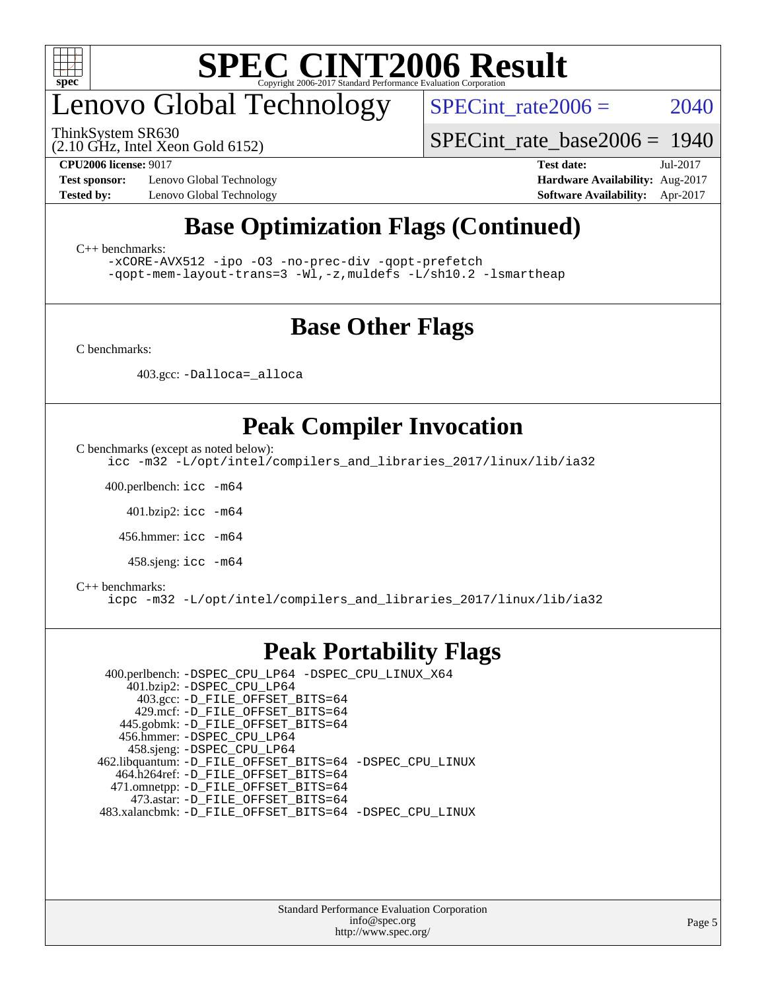

## enovo Global Technology

ThinkSystem SR630

SPECint rate $2006 = 2040$ 

(2.10 GHz, Intel Xeon Gold 6152)

[SPECint\\_rate\\_base2006 =](http://www.spec.org/auto/cpu2006/Docs/result-fields.html#SPECintratebase2006) 1940

**[Test sponsor:](http://www.spec.org/auto/cpu2006/Docs/result-fields.html#Testsponsor)** Lenovo Global Technology **[Hardware Availability:](http://www.spec.org/auto/cpu2006/Docs/result-fields.html#HardwareAvailability)** Aug-2017

**[CPU2006 license:](http://www.spec.org/auto/cpu2006/Docs/result-fields.html#CPU2006license)** 9017 **[Test date:](http://www.spec.org/auto/cpu2006/Docs/result-fields.html#Testdate)** Jul-2017 **[Tested by:](http://www.spec.org/auto/cpu2006/Docs/result-fields.html#Testedby)** Lenovo Global Technology **[Software Availability:](http://www.spec.org/auto/cpu2006/Docs/result-fields.html#SoftwareAvailability)** Apr-2017

### **[Base Optimization Flags \(Continued\)](http://www.spec.org/auto/cpu2006/Docs/result-fields.html#BaseOptimizationFlags)**

[C++ benchmarks:](http://www.spec.org/auto/cpu2006/Docs/result-fields.html#CXXbenchmarks)

[-xCORE-AVX512](http://www.spec.org/cpu2006/results/res2017q4/cpu2006-20170918-49521.flags.html#user_CXXbase_f-xCORE-AVX512) [-ipo](http://www.spec.org/cpu2006/results/res2017q4/cpu2006-20170918-49521.flags.html#user_CXXbase_f-ipo) [-O3](http://www.spec.org/cpu2006/results/res2017q4/cpu2006-20170918-49521.flags.html#user_CXXbase_f-O3) [-no-prec-div](http://www.spec.org/cpu2006/results/res2017q4/cpu2006-20170918-49521.flags.html#user_CXXbase_f-no-prec-div) [-qopt-prefetch](http://www.spec.org/cpu2006/results/res2017q4/cpu2006-20170918-49521.flags.html#user_CXXbase_f-qopt-prefetch) [-qopt-mem-layout-trans=3](http://www.spec.org/cpu2006/results/res2017q4/cpu2006-20170918-49521.flags.html#user_CXXbase_f-qopt-mem-layout-trans_170f5be61cd2cedc9b54468c59262d5d) [-Wl,-z,muldefs](http://www.spec.org/cpu2006/results/res2017q4/cpu2006-20170918-49521.flags.html#user_CXXbase_link_force_multiple1_74079c344b956b9658436fd1b6dd3a8a) [-L/sh10.2 -lsmartheap](http://www.spec.org/cpu2006/results/res2017q4/cpu2006-20170918-49521.flags.html#user_CXXbase_SmartHeap_b831f2d313e2fffa6dfe3f00ffc1f1c0)

### **[Base Other Flags](http://www.spec.org/auto/cpu2006/Docs/result-fields.html#BaseOtherFlags)**

[C benchmarks](http://www.spec.org/auto/cpu2006/Docs/result-fields.html#Cbenchmarks):

403.gcc: [-Dalloca=\\_alloca](http://www.spec.org/cpu2006/results/res2017q4/cpu2006-20170918-49521.flags.html#b403.gcc_baseEXTRA_CFLAGS_Dalloca_be3056838c12de2578596ca5467af7f3)

### **[Peak Compiler Invocation](http://www.spec.org/auto/cpu2006/Docs/result-fields.html#PeakCompilerInvocation)**

[C benchmarks \(except as noted below\)](http://www.spec.org/auto/cpu2006/Docs/result-fields.html#Cbenchmarksexceptasnotedbelow):

[icc -m32 -L/opt/intel/compilers\\_and\\_libraries\\_2017/linux/lib/ia32](http://www.spec.org/cpu2006/results/res2017q4/cpu2006-20170918-49521.flags.html#user_CCpeak_intel_icc_c29f3ff5a7ed067b11e4ec10a03f03ae)

400.perlbench: [icc -m64](http://www.spec.org/cpu2006/results/res2017q4/cpu2006-20170918-49521.flags.html#user_peakCCLD400_perlbench_intel_icc_64bit_bda6cc9af1fdbb0edc3795bac97ada53)

401.bzip2: [icc -m64](http://www.spec.org/cpu2006/results/res2017q4/cpu2006-20170918-49521.flags.html#user_peakCCLD401_bzip2_intel_icc_64bit_bda6cc9af1fdbb0edc3795bac97ada53)

456.hmmer: [icc -m64](http://www.spec.org/cpu2006/results/res2017q4/cpu2006-20170918-49521.flags.html#user_peakCCLD456_hmmer_intel_icc_64bit_bda6cc9af1fdbb0edc3795bac97ada53)

458.sjeng: [icc -m64](http://www.spec.org/cpu2006/results/res2017q4/cpu2006-20170918-49521.flags.html#user_peakCCLD458_sjeng_intel_icc_64bit_bda6cc9af1fdbb0edc3795bac97ada53)

#### [C++ benchmarks:](http://www.spec.org/auto/cpu2006/Docs/result-fields.html#CXXbenchmarks)

[icpc -m32 -L/opt/intel/compilers\\_and\\_libraries\\_2017/linux/lib/ia32](http://www.spec.org/cpu2006/results/res2017q4/cpu2006-20170918-49521.flags.html#user_CXXpeak_intel_icpc_8c35c7808b62dab9ae41a1aa06361b6b)

#### **[Peak Portability Flags](http://www.spec.org/auto/cpu2006/Docs/result-fields.html#PeakPortabilityFlags)**

 400.perlbench: [-DSPEC\\_CPU\\_LP64](http://www.spec.org/cpu2006/results/res2017q4/cpu2006-20170918-49521.flags.html#b400.perlbench_peakCPORTABILITY_DSPEC_CPU_LP64) [-DSPEC\\_CPU\\_LINUX\\_X64](http://www.spec.org/cpu2006/results/res2017q4/cpu2006-20170918-49521.flags.html#b400.perlbench_peakCPORTABILITY_DSPEC_CPU_LINUX_X64) 401.bzip2: [-DSPEC\\_CPU\\_LP64](http://www.spec.org/cpu2006/results/res2017q4/cpu2006-20170918-49521.flags.html#suite_peakCPORTABILITY401_bzip2_DSPEC_CPU_LP64) 403.gcc: [-D\\_FILE\\_OFFSET\\_BITS=64](http://www.spec.org/cpu2006/results/res2017q4/cpu2006-20170918-49521.flags.html#user_peakPORTABILITY403_gcc_file_offset_bits_64_438cf9856305ebd76870a2c6dc2689ab) 429.mcf: [-D\\_FILE\\_OFFSET\\_BITS=64](http://www.spec.org/cpu2006/results/res2017q4/cpu2006-20170918-49521.flags.html#user_peakPORTABILITY429_mcf_file_offset_bits_64_438cf9856305ebd76870a2c6dc2689ab) 445.gobmk: [-D\\_FILE\\_OFFSET\\_BITS=64](http://www.spec.org/cpu2006/results/res2017q4/cpu2006-20170918-49521.flags.html#user_peakPORTABILITY445_gobmk_file_offset_bits_64_438cf9856305ebd76870a2c6dc2689ab) 456.hmmer: [-DSPEC\\_CPU\\_LP64](http://www.spec.org/cpu2006/results/res2017q4/cpu2006-20170918-49521.flags.html#suite_peakCPORTABILITY456_hmmer_DSPEC_CPU_LP64) 458.sjeng: [-DSPEC\\_CPU\\_LP64](http://www.spec.org/cpu2006/results/res2017q4/cpu2006-20170918-49521.flags.html#suite_peakCPORTABILITY458_sjeng_DSPEC_CPU_LP64) 462.libquantum: [-D\\_FILE\\_OFFSET\\_BITS=64](http://www.spec.org/cpu2006/results/res2017q4/cpu2006-20170918-49521.flags.html#user_peakPORTABILITY462_libquantum_file_offset_bits_64_438cf9856305ebd76870a2c6dc2689ab) [-DSPEC\\_CPU\\_LINUX](http://www.spec.org/cpu2006/results/res2017q4/cpu2006-20170918-49521.flags.html#b462.libquantum_peakCPORTABILITY_DSPEC_CPU_LINUX) 464.h264ref: [-D\\_FILE\\_OFFSET\\_BITS=64](http://www.spec.org/cpu2006/results/res2017q4/cpu2006-20170918-49521.flags.html#user_peakPORTABILITY464_h264ref_file_offset_bits_64_438cf9856305ebd76870a2c6dc2689ab) 471.omnetpp: [-D\\_FILE\\_OFFSET\\_BITS=64](http://www.spec.org/cpu2006/results/res2017q4/cpu2006-20170918-49521.flags.html#user_peakPORTABILITY471_omnetpp_file_offset_bits_64_438cf9856305ebd76870a2c6dc2689ab) 473.astar: [-D\\_FILE\\_OFFSET\\_BITS=64](http://www.spec.org/cpu2006/results/res2017q4/cpu2006-20170918-49521.flags.html#user_peakPORTABILITY473_astar_file_offset_bits_64_438cf9856305ebd76870a2c6dc2689ab) 483.xalancbmk: [-D\\_FILE\\_OFFSET\\_BITS=64](http://www.spec.org/cpu2006/results/res2017q4/cpu2006-20170918-49521.flags.html#user_peakPORTABILITY483_xalancbmk_file_offset_bits_64_438cf9856305ebd76870a2c6dc2689ab) [-DSPEC\\_CPU\\_LINUX](http://www.spec.org/cpu2006/results/res2017q4/cpu2006-20170918-49521.flags.html#b483.xalancbmk_peakCXXPORTABILITY_DSPEC_CPU_LINUX)

> Standard Performance Evaluation Corporation [info@spec.org](mailto:info@spec.org) <http://www.spec.org/>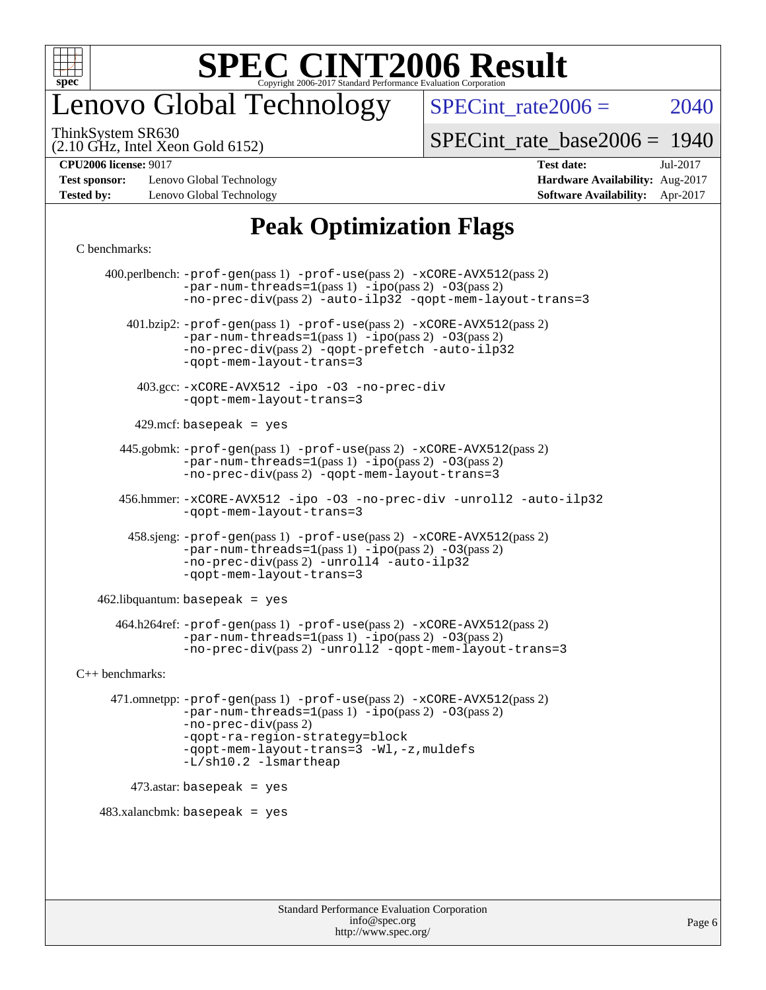

## enovo Global Technology

SPECint rate $2006 = 2040$ 

(2.10 GHz, Intel Xeon Gold 6152) ThinkSystem SR630

[SPECint\\_rate\\_base2006 =](http://www.spec.org/auto/cpu2006/Docs/result-fields.html#SPECintratebase2006) 1940

**[Test sponsor:](http://www.spec.org/auto/cpu2006/Docs/result-fields.html#Testsponsor)** Lenovo Global Technology **[Hardware Availability:](http://www.spec.org/auto/cpu2006/Docs/result-fields.html#HardwareAvailability)** Aug-2017 **[Tested by:](http://www.spec.org/auto/cpu2006/Docs/result-fields.html#Testedby)** Lenovo Global Technology **[Software Availability:](http://www.spec.org/auto/cpu2006/Docs/result-fields.html#SoftwareAvailability)** Apr-2017

## **[CPU2006 license:](http://www.spec.org/auto/cpu2006/Docs/result-fields.html#CPU2006license)** 9017 **[Test date:](http://www.spec.org/auto/cpu2006/Docs/result-fields.html#Testdate)** Jul-2017

### **[Peak Optimization Flags](http://www.spec.org/auto/cpu2006/Docs/result-fields.html#PeakOptimizationFlags)**

#### [C benchmarks](http://www.spec.org/auto/cpu2006/Docs/result-fields.html#Cbenchmarks):

 400.perlbench: [-prof-gen](http://www.spec.org/cpu2006/results/res2017q4/cpu2006-20170918-49521.flags.html#user_peakPASS1_CFLAGSPASS1_LDCFLAGS400_perlbench_prof_gen_e43856698f6ca7b7e442dfd80e94a8fc)(pass 1) [-prof-use](http://www.spec.org/cpu2006/results/res2017q4/cpu2006-20170918-49521.flags.html#user_peakPASS2_CFLAGSPASS2_LDCFLAGS400_perlbench_prof_use_bccf7792157ff70d64e32fe3e1250b55)(pass 2) [-xCORE-AVX512](http://www.spec.org/cpu2006/results/res2017q4/cpu2006-20170918-49521.flags.html#user_peakPASS2_CFLAGSPASS2_LDCFLAGS400_perlbench_f-xCORE-AVX512)(pass 2)  $-par-num-threads=1(pass 1) -ipo(pass 2) -O3(pass 2)$  $-par-num-threads=1(pass 1) -ipo(pass 2) -O3(pass 2)$  $-par-num-threads=1(pass 1) -ipo(pass 2) -O3(pass 2)$  $-par-num-threads=1(pass 1) -ipo(pass 2) -O3(pass 2)$  $-par-num-threads=1(pass 1) -ipo(pass 2) -O3(pass 2)$  $-par-num-threads=1(pass 1) -ipo(pass 2) -O3(pass 2)$ [-no-prec-div](http://www.spec.org/cpu2006/results/res2017q4/cpu2006-20170918-49521.flags.html#user_peakPASS2_CFLAGSPASS2_LDCFLAGS400_perlbench_f-no-prec-div)(pass 2) [-auto-ilp32](http://www.spec.org/cpu2006/results/res2017q4/cpu2006-20170918-49521.flags.html#user_peakCOPTIMIZE400_perlbench_f-auto-ilp32) [-qopt-mem-layout-trans=3](http://www.spec.org/cpu2006/results/res2017q4/cpu2006-20170918-49521.flags.html#user_peakCOPTIMIZE400_perlbench_f-qopt-mem-layout-trans_170f5be61cd2cedc9b54468c59262d5d) 401.bzip2: [-prof-gen](http://www.spec.org/cpu2006/results/res2017q4/cpu2006-20170918-49521.flags.html#user_peakPASS1_CFLAGSPASS1_LDCFLAGS401_bzip2_prof_gen_e43856698f6ca7b7e442dfd80e94a8fc)(pass 1) [-prof-use](http://www.spec.org/cpu2006/results/res2017q4/cpu2006-20170918-49521.flags.html#user_peakPASS2_CFLAGSPASS2_LDCFLAGS401_bzip2_prof_use_bccf7792157ff70d64e32fe3e1250b55)(pass 2) [-xCORE-AVX512](http://www.spec.org/cpu2006/results/res2017q4/cpu2006-20170918-49521.flags.html#user_peakPASS2_CFLAGSPASS2_LDCFLAGS401_bzip2_f-xCORE-AVX512)(pass 2) [-par-num-threads=1](http://www.spec.org/cpu2006/results/res2017q4/cpu2006-20170918-49521.flags.html#user_peakPASS1_CFLAGSPASS1_LDCFLAGS401_bzip2_par_num_threads_786a6ff141b4e9e90432e998842df6c2)(pass 1) [-ipo](http://www.spec.org/cpu2006/results/res2017q4/cpu2006-20170918-49521.flags.html#user_peakPASS2_CFLAGSPASS2_LDCFLAGS401_bzip2_f-ipo)(pass 2) [-O3](http://www.spec.org/cpu2006/results/res2017q4/cpu2006-20170918-49521.flags.html#user_peakPASS2_CFLAGSPASS2_LDCFLAGS401_bzip2_f-O3)(pass 2) [-no-prec-div](http://www.spec.org/cpu2006/results/res2017q4/cpu2006-20170918-49521.flags.html#user_peakPASS2_CFLAGSPASS2_LDCFLAGS401_bzip2_f-no-prec-div)(pass 2) [-qopt-prefetch](http://www.spec.org/cpu2006/results/res2017q4/cpu2006-20170918-49521.flags.html#user_peakCOPTIMIZE401_bzip2_f-qopt-prefetch) [-auto-ilp32](http://www.spec.org/cpu2006/results/res2017q4/cpu2006-20170918-49521.flags.html#user_peakCOPTIMIZE401_bzip2_f-auto-ilp32) [-qopt-mem-layout-trans=3](http://www.spec.org/cpu2006/results/res2017q4/cpu2006-20170918-49521.flags.html#user_peakCOPTIMIZE401_bzip2_f-qopt-mem-layout-trans_170f5be61cd2cedc9b54468c59262d5d) 403.gcc: [-xCORE-AVX512](http://www.spec.org/cpu2006/results/res2017q4/cpu2006-20170918-49521.flags.html#user_peakOPTIMIZE403_gcc_f-xCORE-AVX512) [-ipo](http://www.spec.org/cpu2006/results/res2017q4/cpu2006-20170918-49521.flags.html#user_peakOPTIMIZE403_gcc_f-ipo) [-O3](http://www.spec.org/cpu2006/results/res2017q4/cpu2006-20170918-49521.flags.html#user_peakOPTIMIZE403_gcc_f-O3) [-no-prec-div](http://www.spec.org/cpu2006/results/res2017q4/cpu2006-20170918-49521.flags.html#user_peakOPTIMIZE403_gcc_f-no-prec-div) [-qopt-mem-layout-trans=3](http://www.spec.org/cpu2006/results/res2017q4/cpu2006-20170918-49521.flags.html#user_peakCOPTIMIZE403_gcc_f-qopt-mem-layout-trans_170f5be61cd2cedc9b54468c59262d5d)  $429$ .mcf: basepeak = yes 445.gobmk: [-prof-gen](http://www.spec.org/cpu2006/results/res2017q4/cpu2006-20170918-49521.flags.html#user_peakPASS1_CFLAGSPASS1_LDCFLAGS445_gobmk_prof_gen_e43856698f6ca7b7e442dfd80e94a8fc)(pass 1) [-prof-use](http://www.spec.org/cpu2006/results/res2017q4/cpu2006-20170918-49521.flags.html#user_peakPASS2_CFLAGSPASS2_LDCFLAGSPASS2_LDFLAGS445_gobmk_prof_use_bccf7792157ff70d64e32fe3e1250b55)(pass 2) [-xCORE-AVX512](http://www.spec.org/cpu2006/results/res2017q4/cpu2006-20170918-49521.flags.html#user_peakPASS2_CFLAGSPASS2_LDCFLAGSPASS2_LDFLAGS445_gobmk_f-xCORE-AVX512)(pass 2) [-par-num-threads=1](http://www.spec.org/cpu2006/results/res2017q4/cpu2006-20170918-49521.flags.html#user_peakPASS1_CFLAGSPASS1_LDCFLAGS445_gobmk_par_num_threads_786a6ff141b4e9e90432e998842df6c2)(pass 1) [-ipo](http://www.spec.org/cpu2006/results/res2017q4/cpu2006-20170918-49521.flags.html#user_peakPASS2_LDCFLAGS445_gobmk_f-ipo)(pass 2) [-O3](http://www.spec.org/cpu2006/results/res2017q4/cpu2006-20170918-49521.flags.html#user_peakPASS2_LDCFLAGS445_gobmk_f-O3)(pass 2) [-no-prec-div](http://www.spec.org/cpu2006/results/res2017q4/cpu2006-20170918-49521.flags.html#user_peakPASS2_LDCFLAGS445_gobmk_f-no-prec-div)(pass 2) [-qopt-mem-layout-trans=3](http://www.spec.org/cpu2006/results/res2017q4/cpu2006-20170918-49521.flags.html#user_peakCOPTIMIZE445_gobmk_f-qopt-mem-layout-trans_170f5be61cd2cedc9b54468c59262d5d) 456.hmmer: [-xCORE-AVX512](http://www.spec.org/cpu2006/results/res2017q4/cpu2006-20170918-49521.flags.html#user_peakOPTIMIZE456_hmmer_f-xCORE-AVX512) [-ipo](http://www.spec.org/cpu2006/results/res2017q4/cpu2006-20170918-49521.flags.html#user_peakOPTIMIZE456_hmmer_f-ipo) [-O3](http://www.spec.org/cpu2006/results/res2017q4/cpu2006-20170918-49521.flags.html#user_peakOPTIMIZE456_hmmer_f-O3) [-no-prec-div](http://www.spec.org/cpu2006/results/res2017q4/cpu2006-20170918-49521.flags.html#user_peakOPTIMIZE456_hmmer_f-no-prec-div) [-unroll2](http://www.spec.org/cpu2006/results/res2017q4/cpu2006-20170918-49521.flags.html#user_peakCOPTIMIZE456_hmmer_f-unroll_784dae83bebfb236979b41d2422d7ec2) [-auto-ilp32](http://www.spec.org/cpu2006/results/res2017q4/cpu2006-20170918-49521.flags.html#user_peakCOPTIMIZE456_hmmer_f-auto-ilp32) [-qopt-mem-layout-trans=3](http://www.spec.org/cpu2006/results/res2017q4/cpu2006-20170918-49521.flags.html#user_peakCOPTIMIZE456_hmmer_f-qopt-mem-layout-trans_170f5be61cd2cedc9b54468c59262d5d) 458.sjeng: [-prof-gen](http://www.spec.org/cpu2006/results/res2017q4/cpu2006-20170918-49521.flags.html#user_peakPASS1_CFLAGSPASS1_LDCFLAGS458_sjeng_prof_gen_e43856698f6ca7b7e442dfd80e94a8fc)(pass 1) [-prof-use](http://www.spec.org/cpu2006/results/res2017q4/cpu2006-20170918-49521.flags.html#user_peakPASS2_CFLAGSPASS2_LDCFLAGS458_sjeng_prof_use_bccf7792157ff70d64e32fe3e1250b55)(pass 2) [-xCORE-AVX512](http://www.spec.org/cpu2006/results/res2017q4/cpu2006-20170918-49521.flags.html#user_peakPASS2_CFLAGSPASS2_LDCFLAGS458_sjeng_f-xCORE-AVX512)(pass 2) [-par-num-threads=1](http://www.spec.org/cpu2006/results/res2017q4/cpu2006-20170918-49521.flags.html#user_peakPASS1_CFLAGSPASS1_LDCFLAGS458_sjeng_par_num_threads_786a6ff141b4e9e90432e998842df6c2)(pass 1) [-ipo](http://www.spec.org/cpu2006/results/res2017q4/cpu2006-20170918-49521.flags.html#user_peakPASS2_CFLAGSPASS2_LDCFLAGS458_sjeng_f-ipo)(pass 2) [-O3](http://www.spec.org/cpu2006/results/res2017q4/cpu2006-20170918-49521.flags.html#user_peakPASS2_CFLAGSPASS2_LDCFLAGS458_sjeng_f-O3)(pass 2) [-no-prec-div](http://www.spec.org/cpu2006/results/res2017q4/cpu2006-20170918-49521.flags.html#user_peakPASS2_CFLAGSPASS2_LDCFLAGS458_sjeng_f-no-prec-div)(pass 2) [-unroll4](http://www.spec.org/cpu2006/results/res2017q4/cpu2006-20170918-49521.flags.html#user_peakCOPTIMIZE458_sjeng_f-unroll_4e5e4ed65b7fd20bdcd365bec371b81f) [-auto-ilp32](http://www.spec.org/cpu2006/results/res2017q4/cpu2006-20170918-49521.flags.html#user_peakCOPTIMIZE458_sjeng_f-auto-ilp32) [-qopt-mem-layout-trans=3](http://www.spec.org/cpu2006/results/res2017q4/cpu2006-20170918-49521.flags.html#user_peakCOPTIMIZE458_sjeng_f-qopt-mem-layout-trans_170f5be61cd2cedc9b54468c59262d5d)  $462$ .libquantum: basepeak = yes 464.h264ref: [-prof-gen](http://www.spec.org/cpu2006/results/res2017q4/cpu2006-20170918-49521.flags.html#user_peakPASS1_CFLAGSPASS1_LDCFLAGS464_h264ref_prof_gen_e43856698f6ca7b7e442dfd80e94a8fc)(pass 1) [-prof-use](http://www.spec.org/cpu2006/results/res2017q4/cpu2006-20170918-49521.flags.html#user_peakPASS2_CFLAGSPASS2_LDCFLAGS464_h264ref_prof_use_bccf7792157ff70d64e32fe3e1250b55)(pass 2) [-xCORE-AVX512](http://www.spec.org/cpu2006/results/res2017q4/cpu2006-20170918-49521.flags.html#user_peakPASS2_CFLAGSPASS2_LDCFLAGS464_h264ref_f-xCORE-AVX512)(pass 2) [-par-num-threads=1](http://www.spec.org/cpu2006/results/res2017q4/cpu2006-20170918-49521.flags.html#user_peakPASS1_CFLAGSPASS1_LDCFLAGS464_h264ref_par_num_threads_786a6ff141b4e9e90432e998842df6c2)(pass 1) [-ipo](http://www.spec.org/cpu2006/results/res2017q4/cpu2006-20170918-49521.flags.html#user_peakPASS2_CFLAGSPASS2_LDCFLAGS464_h264ref_f-ipo)(pass 2) [-O3](http://www.spec.org/cpu2006/results/res2017q4/cpu2006-20170918-49521.flags.html#user_peakPASS2_CFLAGSPASS2_LDCFLAGS464_h264ref_f-O3)(pass 2) [-no-prec-div](http://www.spec.org/cpu2006/results/res2017q4/cpu2006-20170918-49521.flags.html#user_peakPASS2_CFLAGSPASS2_LDCFLAGS464_h264ref_f-no-prec-div)(pass 2) [-unroll2](http://www.spec.org/cpu2006/results/res2017q4/cpu2006-20170918-49521.flags.html#user_peakCOPTIMIZE464_h264ref_f-unroll_784dae83bebfb236979b41d2422d7ec2) [-qopt-mem-layout-trans=3](http://www.spec.org/cpu2006/results/res2017q4/cpu2006-20170918-49521.flags.html#user_peakCOPTIMIZE464_h264ref_f-qopt-mem-layout-trans_170f5be61cd2cedc9b54468c59262d5d) [C++ benchmarks:](http://www.spec.org/auto/cpu2006/Docs/result-fields.html#CXXbenchmarks) 471.omnetpp: [-prof-gen](http://www.spec.org/cpu2006/results/res2017q4/cpu2006-20170918-49521.flags.html#user_peakPASS1_CXXFLAGSPASS1_LDCXXFLAGS471_omnetpp_prof_gen_e43856698f6ca7b7e442dfd80e94a8fc)(pass 1) [-prof-use](http://www.spec.org/cpu2006/results/res2017q4/cpu2006-20170918-49521.flags.html#user_peakPASS2_CXXFLAGSPASS2_LDCXXFLAGS471_omnetpp_prof_use_bccf7792157ff70d64e32fe3e1250b55)(pass 2) [-xCORE-AVX512](http://www.spec.org/cpu2006/results/res2017q4/cpu2006-20170918-49521.flags.html#user_peakPASS2_CXXFLAGSPASS2_LDCXXFLAGS471_omnetpp_f-xCORE-AVX512)(pass 2) [-par-num-threads=1](http://www.spec.org/cpu2006/results/res2017q4/cpu2006-20170918-49521.flags.html#user_peakPASS1_CXXFLAGSPASS1_LDCXXFLAGS471_omnetpp_par_num_threads_786a6ff141b4e9e90432e998842df6c2)(pass 1) [-ipo](http://www.spec.org/cpu2006/results/res2017q4/cpu2006-20170918-49521.flags.html#user_peakPASS2_CXXFLAGSPASS2_LDCXXFLAGS471_omnetpp_f-ipo)(pass 2) [-O3](http://www.spec.org/cpu2006/results/res2017q4/cpu2006-20170918-49521.flags.html#user_peakPASS2_CXXFLAGSPASS2_LDCXXFLAGS471_omnetpp_f-O3)(pass 2) [-no-prec-div](http://www.spec.org/cpu2006/results/res2017q4/cpu2006-20170918-49521.flags.html#user_peakPASS2_CXXFLAGSPASS2_LDCXXFLAGS471_omnetpp_f-no-prec-div)(pass 2) [-qopt-ra-region-strategy=block](http://www.spec.org/cpu2006/results/res2017q4/cpu2006-20170918-49521.flags.html#user_peakCXXOPTIMIZE471_omnetpp_f-qopt-ra-region-strategy_430aa8f7c220cbde92ae827fa8d9be32)  [-qopt-mem-layout-trans=3](http://www.spec.org/cpu2006/results/res2017q4/cpu2006-20170918-49521.flags.html#user_peakCXXOPTIMIZE471_omnetpp_f-qopt-mem-layout-trans_170f5be61cd2cedc9b54468c59262d5d) [-Wl,-z,muldefs](http://www.spec.org/cpu2006/results/res2017q4/cpu2006-20170918-49521.flags.html#user_peakEXTRA_LDFLAGS471_omnetpp_link_force_multiple1_74079c344b956b9658436fd1b6dd3a8a) [-L/sh10.2 -lsmartheap](http://www.spec.org/cpu2006/results/res2017q4/cpu2006-20170918-49521.flags.html#user_peakEXTRA_LIBS471_omnetpp_SmartHeap_b831f2d313e2fffa6dfe3f00ffc1f1c0) 473.astar: basepeak = yes  $483.xalanchmk: basepeak = yes$